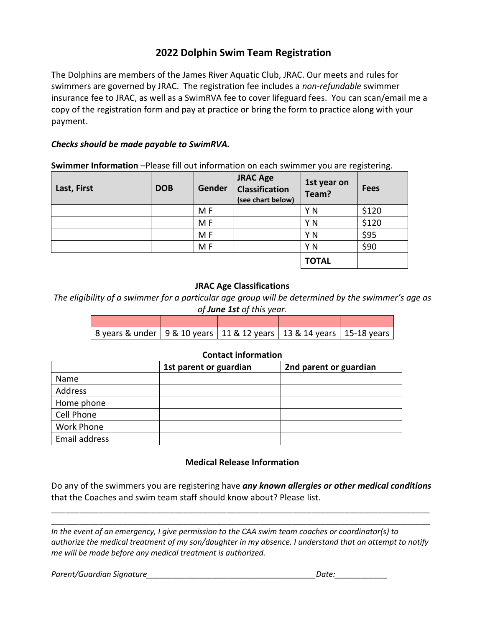# **2022 Dolphin Swim Team Registration**

The Dolphins are members of the James River Aquatic Club, JRAC. Our meets and rules for swimmers are governed by JRAC. The registration fee includes a *non-refundable* swimmer insurance fee to JRAC, as well as a SwimRVA fee to cover lifeguard fees. You can scan/email me a copy of the registration form and pay at practice or bring the form to practice along with your payment.

## *Checks should be made payable to SwimRVA.*

**Swimmer Information** -Please fill out information on each swimmer you are registering.

| Last, First | <b>DOB</b> | Gender         | <b>JRAC Age</b><br>Classification<br>(see chart below) | 1st year on<br>Team? | <b>Fees</b> |
|-------------|------------|----------------|--------------------------------------------------------|----------------------|-------------|
|             |            | M F            |                                                        | Y N                  | \$120       |
|             |            | M F            |                                                        | Y N                  | \$120       |
|             |            | M F            |                                                        | Y N                  | \$95        |
|             |            | M <sub>F</sub> |                                                        | ΥN                   | \$90        |
|             |            |                |                                                        | <b>TOTAL</b>         |             |

## **JRAC Age Classifications**

*The eligibility of a swimmer for a particular age group will be determined by the swimmer's age as of June 1st of this year.*

| 8 years & under   9 & 10 years   11 & 12 years   13 & 14 years   15-18 years |  |  |
|------------------------------------------------------------------------------|--|--|

### **Contact information**

|                   | 1st parent or guardian | 2nd parent or guardian |  |  |  |
|-------------------|------------------------|------------------------|--|--|--|
| Name              |                        |                        |  |  |  |
| Address           |                        |                        |  |  |  |
| Home phone        |                        |                        |  |  |  |
| Cell Phone        |                        |                        |  |  |  |
| <b>Work Phone</b> |                        |                        |  |  |  |
| Email address     |                        |                        |  |  |  |
|                   |                        |                        |  |  |  |

### **Medical Release Information**

Do any of the swimmers you are registering have *any known allergies or other medical conditions*  that the Coaches and swim team staff should know about? Please list.

\_\_\_\_\_\_\_\_\_\_\_\_\_\_\_\_\_\_\_\_\_\_\_\_\_\_\_\_\_\_\_\_\_\_\_\_\_\_\_\_\_\_\_\_\_\_\_\_\_\_\_\_\_\_\_\_\_\_\_\_\_\_\_\_\_\_\_\_\_\_\_\_\_\_\_\_\_\_\_\_

\_\_\_\_\_\_\_\_\_\_\_\_\_\_\_\_\_\_\_\_\_\_\_\_\_\_\_\_\_\_\_\_\_\_\_\_\_\_\_\_\_\_\_\_\_\_\_\_\_\_\_\_\_\_\_\_\_\_\_\_\_\_\_\_\_\_\_\_\_\_\_\_\_\_\_\_\_\_\_\_ *In the event of an emergency, I give permission to the CAA swim team coaches or coordinator(s) to authorize the medical treatment of my son/daughter in my absence. I understand that an attempt to notify me will be made before any medical treatment is authorized.*

*Parent/Guardian Signature\_\_\_\_\_\_\_\_\_\_\_\_\_\_\_\_\_\_\_\_\_\_\_\_\_\_\_\_\_\_\_\_\_\_\_\_\_\_\_Date:\_\_\_\_\_\_\_\_\_\_\_\_*